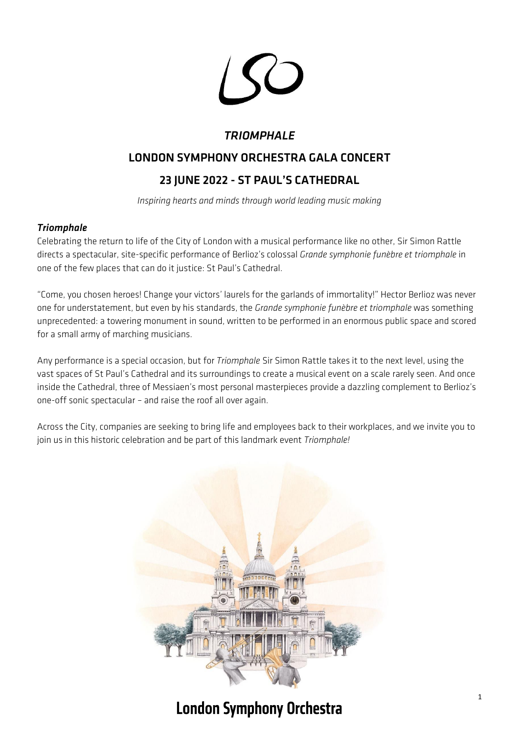

# *TRIOMPHALE*

# LONDON SYMPHONY ORCHESTRA GALA CONCERT

# 23 JUNE 2022 - ST PAUL'S CATHEDRAL

*Inspiring hearts and minds through world leading music making*

## *Triomphale*

Celebrating the return to life of the City of London with a musical performance like no other, Sir Simon Rattle directs a spectacular, site-specific performance of Berlioz's colossal *Grande symphonie funèbre et triomphale* in one of the few places that can do it justice: St Paul's Cathedral.

"Come, you chosen heroes! Change your victors' laurels for the garlands of immortality!" Hector Berlioz was never one for understatement, but even by his standards, the *Grande symphonie funèbre et triomphale* was something unprecedented: a towering monument in sound, written to be performed in an enormous public space and scored for a small army of marching musicians.

Any performance is a special occasion, but for *Triomphale* Sir Simon Rattle takes it to the next level, using the vast spaces of St Paul's Cathedral and its surroundings to create a musical event on a scale rarely seen. And once inside the Cathedral, three of Messiaen's most personal masterpieces provide a dazzling complement to Berlioz's one-off sonic spectacular – and raise the roof all over again.

Across the City, companies are seeking to bring life and employees back to their workplaces, and we invite you to join us in this historic celebration and be part of this landmark event *Triomphale!*



# **London Symphony Orchestra**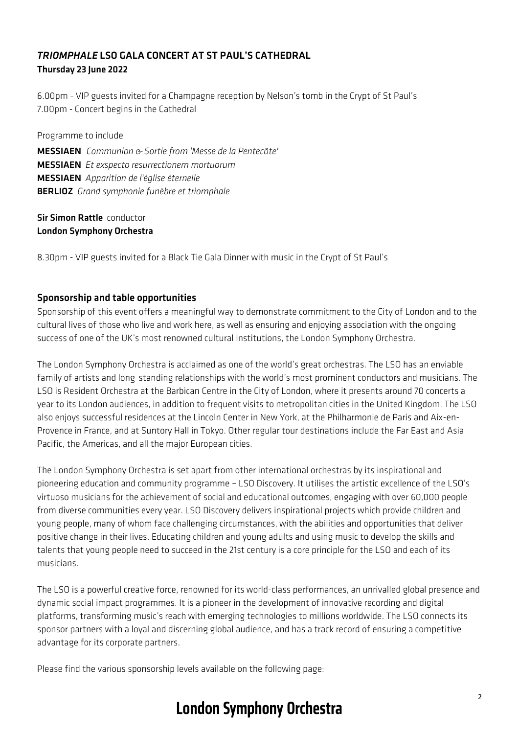### *TRIOMPHALE* LSO GALA CONCERT AT ST PAUL'S CATHEDRAL Thursday 23 June 2022

6.00pm - VIP guests invited for a Champagne reception by Nelson's tomb in the Crypt of St Paul's 7.00pm - Concert begins in the Cathedral

Programme to include

MESSIAEN *Communion & Sortie from 'Messe de la Pentecôte'* MESSIAEN *Et exspecto resurrectionem mortuorum* MESSIAEN *Apparition de l'église éternelle* BERLIOZ *Grand symphonie funèbre et triomphale*

#### Sir Simon Rattle conductor London Symphony Orchestra

8.30pm - VIP guests invited for a Black Tie Gala Dinner with music in the Crypt of St Paul's

#### Sponsorship and table opportunities

Sponsorship of this event offers a meaningful way to demonstrate commitment to the City of London and to the cultural lives of those who live and work here, as well as ensuring and enjoying association with the ongoing success of one of the UK's most renowned cultural institutions, the London Symphony Orchestra.

The London Symphony Orchestra is acclaimed as one of the world's great orchestras. The LSO has an enviable family of artists and long-standing relationships with the world's most prominent conductors and musicians. The LSO is Resident Orchestra at the Barbican Centre in the City of London, where it presents around 70 concerts a year to its London audiences, in addition to frequent visits to metropolitan cities in the United Kingdom. The LSO also enjoys successful residences at the Lincoln Center in New York, at the Philharmonie de Paris and Aix-en-Provence in France, and at Suntory Hall in Tokyo. Other regular tour destinations include the Far East and Asia Pacific, the Americas, and all the major European cities.

The London Symphony Orchestra is set apart from other international orchestras by its inspirational and pioneering education and community programme – LSO Discovery. It utilises the artistic excellence of the LSO's virtuoso musicians for the achievement of social and educational outcomes, engaging with over 60,000 people from diverse communities every year. LSO Discovery delivers inspirational projects which provide children and young people, many of whom face challenging circumstances, with the abilities and opportunities that deliver positive change in their lives. Educating children and young adults and using music to develop the skills and talents that young people need to succeed in the 21st century is a core principle for the LSO and each of its musicians.

The LSO is a powerful creative force, renowned for its world-class performances, an unrivalled global presence and dynamic social impact programmes. It is a pioneer in the development of innovative recording and digital platforms, transforming music's reach with emerging technologies to millions worldwide. The LSO connects its sponsor partners with a loyal and discerning global audience, and has a track record of ensuring a competitive advantage for its corporate partners.

Please find the various sponsorship levels available on the following page:

# **London Symphony Orchestra**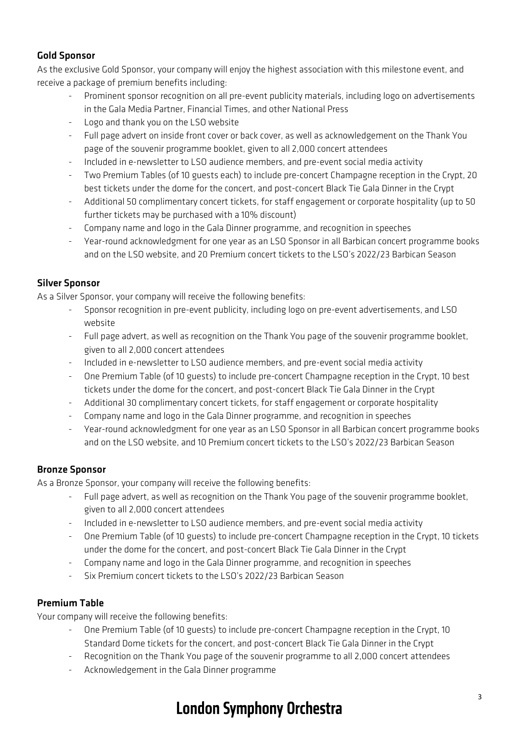# Gold Sponsor

As the exclusive Gold Sponsor, your company will enjoy the highest association with this milestone event, and receive a package of premium benefits including:

- Prominent sponsor recognition on all pre-event publicity materials, including logo on advertisements in the Gala Media Partner, Financial Times, and other National Press
- Logo and thank you on the LSO website
- Full page advert on inside front cover or back cover, as well as acknowledgement on the Thank You page of the souvenir programme booklet, given to all 2,000 concert attendees
- Included in e-newsletter to LSO audience members, and pre-event social media activity
- Two Premium Tables (of 10 guests each) to include pre-concert Champagne reception in the Crypt, 20 best tickets under the dome for the concert, and post-concert Black Tie Gala Dinner in the Crypt
- Additional 50 complimentary concert tickets, for staff engagement or corporate hospitality (up to 50 further tickets may be purchased with a 10% discount)
- Company name and logo in the Gala Dinner programme, and recognition in speeches
- Year-round acknowledgment for one year as an LSO Sponsor in all Barbican concert programme books and on the LSO website, and 20 Premium concert tickets to the LSO's 2022/23 Barbican Season

# Silver Sponsor

As a Silver Sponsor, your company will receive the following benefits:

- Sponsor recognition in pre-event publicity, including logo on pre-event advertisements, and LSO website
- Full page advert, as well as recognition on the Thank You page of the souvenir programme booklet, given to all 2,000 concert attendees
- Included in e-newsletter to LSO audience members, and pre-event social media activity
- One Premium Table (of 10 guests) to include pre-concert Champagne reception in the Crypt, 10 best tickets under the dome for the concert, and post-concert Black Tie Gala Dinner in the Crypt
- Additional 30 complimentary concert tickets, for staff engagement or corporate hospitality
- Company name and logo in the Gala Dinner programme, and recognition in speeches
- Year-round acknowledgment for one year as an LSO Sponsor in all Barbican concert programme books and on the LSO website, and 10 Premium concert tickets to the LSO's 2022/23 Barbican Season

## Bronze Sponsor

As a Bronze Sponsor, your company will receive the following benefits:

- Full page advert, as well as recognition on the Thank You page of the souvenir programme booklet, given to all 2,000 concert attendees
- Included in e-newsletter to LSO audience members, and pre-event social media activity
- One Premium Table (of 10 guests) to include pre-concert Champagne reception in the Crypt, 10 tickets under the dome for the concert, and post-concert Black Tie Gala Dinner in the Crypt
- Company name and logo in the Gala Dinner programme, and recognition in speeches
- Six Premium concert tickets to the LSO's 2022/23 Barbican Season

## Premium Table

Your company will receive the following benefits:

- One Premium Table (of 10 guests) to include pre-concert Champagne reception in the Crypt, 10 Standard Dome tickets for the concert, and post-concert Black Tie Gala Dinner in the Crypt
- Recognition on the Thank You page of the souvenir programme to all 2,000 concert attendees
- Acknowledgement in the Gala Dinner programme

# **London Symphony Orchestra**